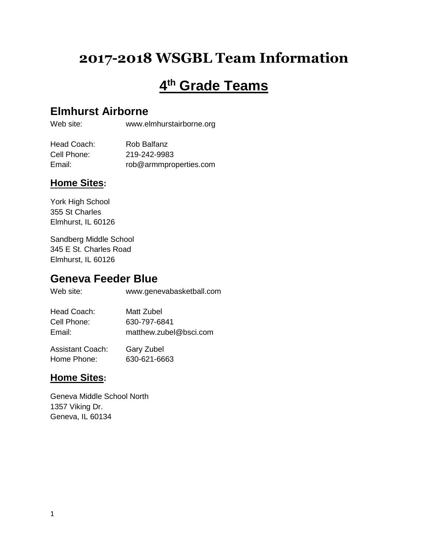# **2017-2018 WSGBL Team Information**

# **4 th Grade Teams**

### **Elmhurst Airborne**

Web site: www.elmhurstairborne.org

| Head Coach: | Rob Balfanz            |
|-------------|------------------------|
| Cell Phone: | 219-242-9983           |
| Email:      | rob@armmproperties.com |

#### **Home Sites:**

York High School 355 St Charles Elmhurst, IL 60126

Sandberg Middle School 345 E St. Charles Road Elmhurst, IL 60126

### **Geneva Feeder Blue**

Web site: www.genevabasketball.com

| Head Coach: | Matt Zubel             |
|-------------|------------------------|
| Cell Phone: | 630-797-6841           |
| Email:      | matthew.zubel@bsci.com |
|             |                        |

| Assistant Coach: | Gary Zubel   |
|------------------|--------------|
| Home Phone:      | 630-621-6663 |

### **Home Sites:**

Geneva Middle School North 1357 Viking Dr. Geneva, IL 60134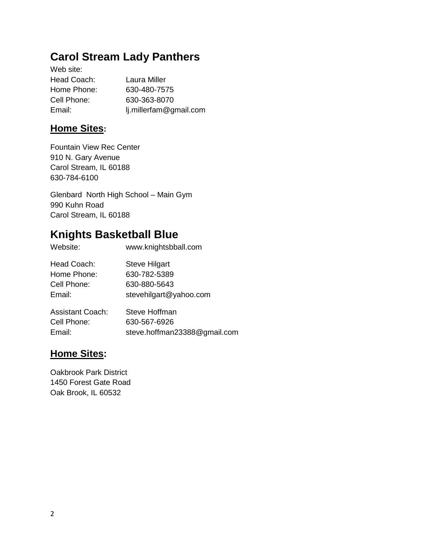### **Carol Stream Lady Panthers**

Web site: Head Coach: Laura Miller Home Phone: 630-480-7575 Cell Phone: 630-363-8070 Email: lj.millerfam@gmail.com

### **Home Sites:**

Fountain View Rec Center 910 N. Gary Avenue Carol Stream, IL 60188 630-784-6100

Glenbard North High School – Main Gym 990 Kuhn Road Carol Stream, IL 60188

## **Knights Basketball Blue**

| Website:    | www.knightsbball.com   |
|-------------|------------------------|
| Head Coach: | <b>Steve Hilgart</b>   |
| Home Phone: | 630-782-5389           |
| Cell Phone: | 630-880-5643           |
| Email:      | stevehilgart@yahoo.com |
|             |                        |

| <b>Assistant Coach:</b> | Steve Hoffman                |
|-------------------------|------------------------------|
| Cell Phone:             | 630-567-6926                 |
| Email:                  | steve.hoffman23388@gmail.com |

### **Home Sites:**

Oakbrook Park District 1450 Forest Gate Road Oak Brook, IL 60532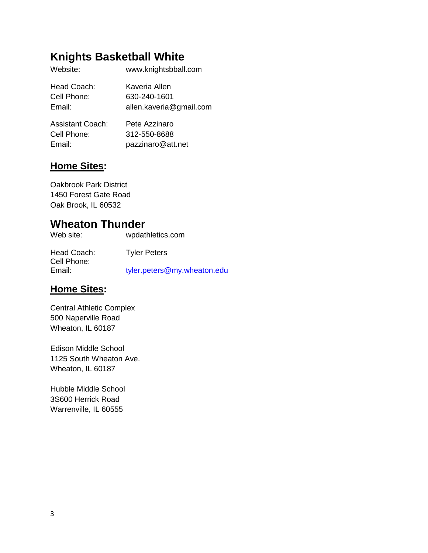# **Knights Basketball White**

| Website:    | www.knightsbball.com    |
|-------------|-------------------------|
| Head Coach: | Kaveria Allen           |
| Cell Phone: | 630-240-1601            |
| Email:      | allen.kaveria@gmail.com |
|             |                         |

| Assistant Coach: | Pete Azzinaro     |
|------------------|-------------------|
| Cell Phone:      | 312-550-8688      |
| Email:           | pazzinaro@att.net |

### **Home Sites:**

Oakbrook Park District 1450 Forest Gate Road Oak Brook, IL 60532

### **Wheaton Thunder**

| Web site: | wpdathletics.com |
|-----------|------------------|
|           |                  |

| Head Coach: | <b>Tyler Peters</b>         |
|-------------|-----------------------------|
| Cell Phone: |                             |
| Email:      | tyler.peters@my.wheaton.edu |

### **Home Sites:**

Central Athletic Complex 500 Naperville Road Wheaton, IL 60187

Edison Middle School 1125 South Wheaton Ave. Wheaton, IL 60187

Hubble Middle School 3S600 Herrick Road Warrenville, IL 60555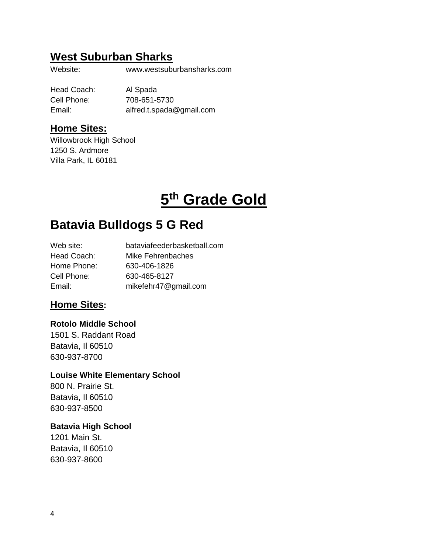### **West Suburban Sharks**

Website: www.westsuburbansharks.com

Head Coach: Al Spada Cell Phone: 708-651-5730 Email: alfred.t.spada@gmail.com

#### **Home Sites:**

Willowbrook High School 1250 S. Ardmore Villa Park, IL 60181

# **5 th Grade Gold**

# **Batavia Bulldogs 5 G Red**

| Web site:   | bataviafeederbasketball.com |
|-------------|-----------------------------|
| Head Coach: | Mike Fehrenbaches           |
| Home Phone: | 630-406-1826                |
| Cell Phone: | 630-465-8127                |
| Email:      | mikefehr47@gmail.com        |

#### **Home Sites:**

#### **Rotolo Middle School**

1501 S. Raddant Road Batavia, Il 60510 630-937-8700

#### **Louise White Elementary School**

800 N. Prairie St. Batavia, Il 60510 630-937-8500

#### **Batavia High School**

1201 Main St. Batavia, Il 60510 630-937-8600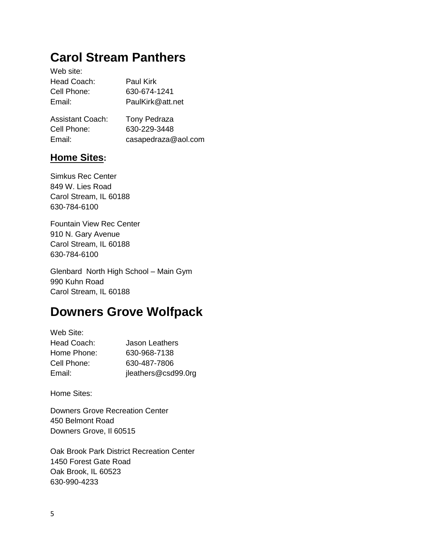# **Carol Stream Panthers**

| Web site:               |                     |
|-------------------------|---------------------|
| Head Coach:             | Paul Kirk           |
| Cell Phone:             | 630-674-1241        |
| Email:                  | PaulKirk@att.net    |
| <b>Assistant Coach:</b> | <b>Tony Pedraza</b> |

| Cell Phone: | 630-229-3448        |
|-------------|---------------------|
| Email:      | casapedraza@aol.com |

### **Home Sites:**

Simkus Rec Center 849 W. Lies Road Carol Stream, IL 60188 630-784-6100

Fountain View Rec Center 910 N. Gary Avenue Carol Stream, IL 60188 630-784-6100

Glenbard North High School – Main Gym 990 Kuhn Road Carol Stream, IL 60188

# **Downers Grove Wolfpack**

| Web Site:   |                     |
|-------------|---------------------|
| Head Coach: | Jason Leathers      |
| Home Phone: | 630-968-7138        |
| Cell Phone: | 630-487-7806        |
| Email:      | jleathers@csd99.0rg |

Home Sites:

Downers Grove Recreation Center 450 Belmont Road Downers Grove, Il 60515

Oak Brook Park District Recreation Center 1450 Forest Gate Road Oak Brook, IL 60523 630-990-4233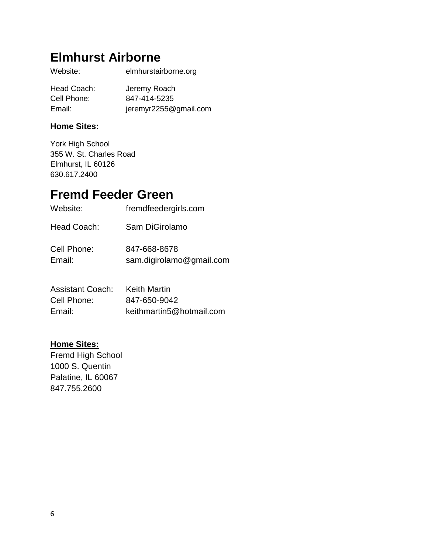# **Elmhurst Airborne**

| Website:    | elmhurstairborne.org  |
|-------------|-----------------------|
| Head Coach: | Jeremy Roach          |
| Cell Phone: | 847-414-5235          |
| Email:      | jeremyr2255@gmail.com |

#### **Home Sites:**

York High School 355 W. St. Charles Road Elmhurst, IL 60126 630.617.2400

# **Fremd Feeder Green**

| Website:              | fremdfeedergirls.com                     |
|-----------------------|------------------------------------------|
| Head Coach:           | Sam DiGirolamo                           |
| Cell Phone:<br>Email: | 847-668-8678<br>sam.digirolamo@gmail.com |

| Assistant Coach: | Keith Martin             |
|------------------|--------------------------|
| Cell Phone:      | 847-650-9042             |
| Email:           | keithmartin5@hotmail.com |

#### **Home Sites:**

Fremd High School 1000 S. Quentin Palatine, IL 60067 847.755.2600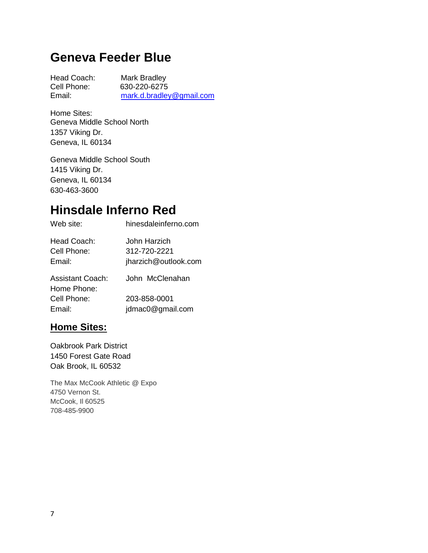# **Geneva Feeder Blue**

Head Coach: Mark Bradley Cell Phone: 630-220-6275 Email: [mark.d.bradley@gmail.com](mailto:mark.d.bradley@gmail.com)

Home Sites: Geneva Middle School North 1357 Viking Dr. Geneva, IL 60134

Geneva Middle School South 1415 Viking Dr. Geneva, IL 60134 630-463-3600

# **Hinsdale Inferno Red**

| Web site:                            | hinesdaleinferno.com                                 |
|--------------------------------------|------------------------------------------------------|
| Head Coach:<br>Cell Phone:<br>Email: | John Harzich<br>312-720-2221<br>jharzich@outlook.com |
| Assistant Coach:<br>Home Phone:      | John McClenahan                                      |
| Cell Phone:                          | 203-858-0001                                         |
| Email:                               | jdmac0@gmail.com                                     |

#### **Home Sites:**

Oakbrook Park District 1450 Forest Gate Road Oak Brook, IL 60532

The Max McCook Athletic @ Expo 4750 Vernon St. McCook, Il 60525 708-485-9900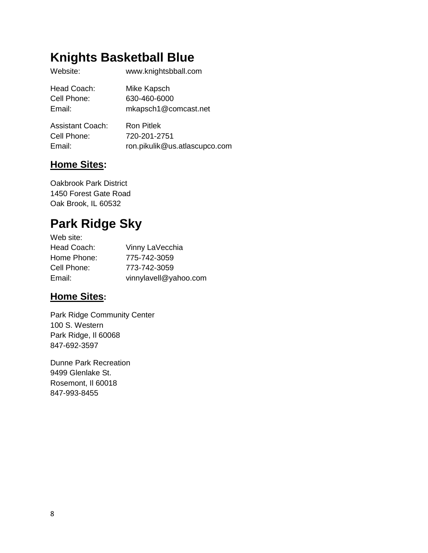# **Knights Basketball Blue**

| Website:    | www.knightsbball.com |
|-------------|----------------------|
| Head Coach: | Mike Kapsch          |
| Cell Phone: | 630-460-6000         |
| Email:      | mkapsch1@comcast.net |
|             |                      |

| Assistant Coach: | Ron Pitlek                    |
|------------------|-------------------------------|
| Cell Phone:      | 720-201-2751                  |
| Email:           | ron.pikulik@us.atlascupco.com |

### **Home Sites:**

Oakbrook Park District 1450 Forest Gate Road Oak Brook, IL 60532

# **Park Ridge Sky**

| Web site:   |                       |
|-------------|-----------------------|
| Head Coach: | Vinny LaVecchia       |
| Home Phone: | 775-742-3059          |
| Cell Phone: | 773-742-3059          |
| Email:      | vinnylavell@yahoo.com |

### **Home Sites:**

Park Ridge Community Center 100 S. Western Park Ridge, Il 60068 847-692-3597

Dunne Park Recreation 9499 Glenlake St. Rosemont, Il 60018 847-993-8455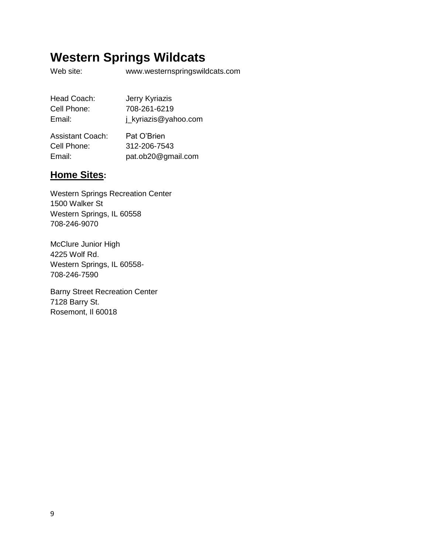# **Western Springs Wildcats**

Web site: www.westernspringswildcats.com

| Head Coach: | Jerry Kyriazis       |
|-------------|----------------------|
| Cell Phone: | 708-261-6219         |
| Email:      | j_kyriazis@yahoo.com |

| <b>Assistant Coach:</b> | Pat O'Brien        |
|-------------------------|--------------------|
| Cell Phone:             | 312-206-7543       |
| Email:                  | pat.ob20@gmail.com |

### **Home Sites:**

Western Springs Recreation Center 1500 Walker St Western Springs, IL 60558 708-246-9070

McClure Junior High 4225 Wolf Rd. Western Springs, IL 60558- 708-246-7590

Barny Street Recreation Center 7128 Barry St. Rosemont, Il 60018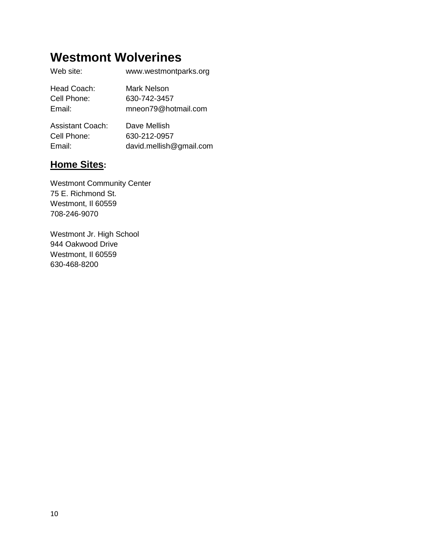# **Westmont Wolverines**

| Web site:   | www.westmontparks.org |
|-------------|-----------------------|
| Head Coach: | Mark Nelson           |
| Cell Phone: | 630-742-3457          |
| Email:      | mneon79@hotmail.com   |

| Assistant Coach: | Dave Mellish            |
|------------------|-------------------------|
| Cell Phone:      | 630-212-0957            |
| Email:           | david.mellish@gmail.com |

### **Home Sites:**

Westmont Community Center 75 E. Richmond St. Westmont, Il 60559 708-246-9070

Westmont Jr. High School 944 Oakwood Drive Westmont, Il 60559 630-468-8200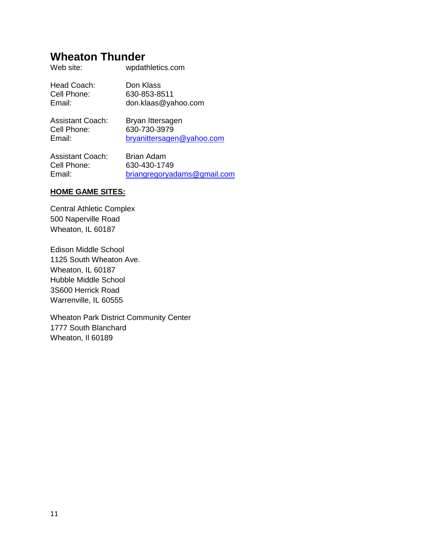### **Wheaton Thunder**

| Head Coach:<br>Cell Phone:<br>Email: | Don Klass<br>630-853-8511<br>don.klaas@yahoo.com |
|--------------------------------------|--------------------------------------------------|
| <b>Assistant Coach:</b>              | Bryan Ittersagen                                 |

Web site: wpdathletics.com

Cell Phone: 630-730-3979

Email: [bryanittersagen@yahoo.com](mailto:bryanittersagen@yahoo.com)

Assistant Coach: Brian Adam Cell Phone: 630-430-1749 Email: [briangregoryadams@gmail.com](mailto:briangregoryadams@gmail.com)

#### **HOME GAME SITES:**

Central Athletic Complex 500 Naperville Road Wheaton, IL 60187

Edison Middle School 1125 South Wheaton Ave. Wheaton, IL 60187 Hubble Middle School 3S600 Herrick Road Warrenville, IL 60555

Wheaton Park District Community Center 1777 South Blanchard Wheaton, Il 60189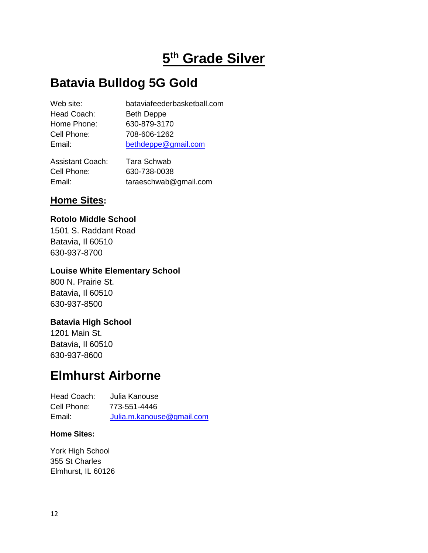# **5 th Grade Silver**

# **Batavia Bulldog 5G Gold**

| Web site:   | bataviafeederbasketball.com |
|-------------|-----------------------------|
| Head Coach: | <b>Beth Deppe</b>           |
| Home Phone: | 630-879-3170                |
| Cell Phone: | 708-606-1262                |
| Email:      | bethdeppe@gmail.com         |
|             |                             |

Assistant Coach: Tara Schwab Cell Phone: 630-738-0038 Email: taraeschwab@gmail.com

### **Home Sites:**

#### **Rotolo Middle School**

1501 S. Raddant Road Batavia, Il 60510 630-937-8700

#### **Louise White Elementary School**

800 N. Prairie St. Batavia, Il 60510 630-937-8500

#### **Batavia High School**

1201 Main St. Batavia, Il 60510 630-937-8600

# **Elmhurst Airborne**

| Head Coach: | Julia Kanouse             |
|-------------|---------------------------|
| Cell Phone: | 773-551-4446              |
| Email:      | Julia.m.kanouse@gmail.com |

#### **Home Sites:**

York High School 355 St Charles Elmhurst, IL 60126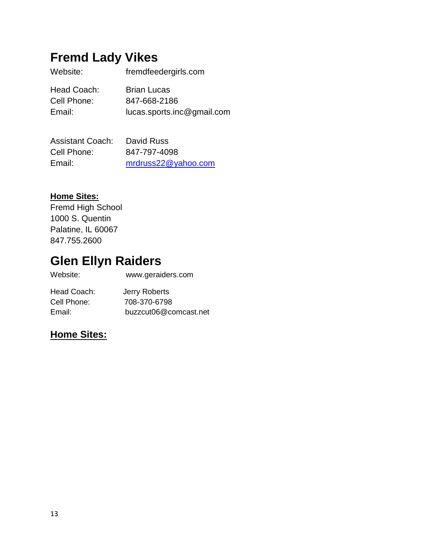# **Fremd Lady Vikes**

| Website:    | fremdfeedergirls.com       |
|-------------|----------------------------|
| Head Coach: | <b>Brian Lucas</b>         |
| Cell Phone: | 847-668-2186               |
| Email:      | lucas.sports.inc@gmail.com |

| <b>Assistant Coach:</b> | David Russ          |
|-------------------------|---------------------|
| Cell Phone:             | 847-797-4098        |
| Email:                  | mrdruss22@yahoo.com |

#### **Home Sites:**

Fremd High School 1000 S. Quentin Palatine, IL 60067 847.755.2600

# **Glen Ellyn Raiders**

Website: www.geraiders.com

| Head Coach: | Jerry Roberts         |
|-------------|-----------------------|
| Cell Phone: | 708-370-6798          |
| Email:      | buzzcut06@comcast.net |

### **Home Sites:**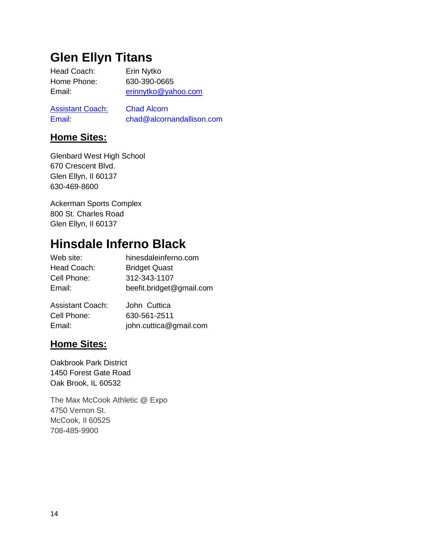# **Glen Ellyn Titans**

Head Coach: Erin Nytko Home Phone: 630-390-0665 Email: [erinnytko@yahoo.com](mailto:erinnytko@yahoo.com)

**Assistant Coach:** Chad Alcorn Email: chad@alcornandallison.com

### **Home Sites:**

Glenbard West High School 670 Crescent Blvd. Glen Ellyn, Il 60137 630-469-8600

Ackerman Sports Complex 800 St. Charles Road Glen Ellyn, Il 60137

# **Hinsdale Inferno Black**

| Web site:   | hinesdaleinferno.com     |
|-------------|--------------------------|
| Head Coach: | <b>Bridget Quast</b>     |
| Cell Phone: | 312-343-1107             |
| Email:      | beefit.bridget@gmail.com |
|             |                          |

| Assistant Coach: | John Cuttica           |
|------------------|------------------------|
| Cell Phone:      | 630-561-2511           |
| Email:           | john.cuttica@gmail.com |

#### **Home Sites:**

Oakbrook Park District 1450 Forest Gate Road Oak Brook, IL 60532

The Max McCook Athletic @ Expo 4750 Vernon St. McCook, Il 60525 708-485-9900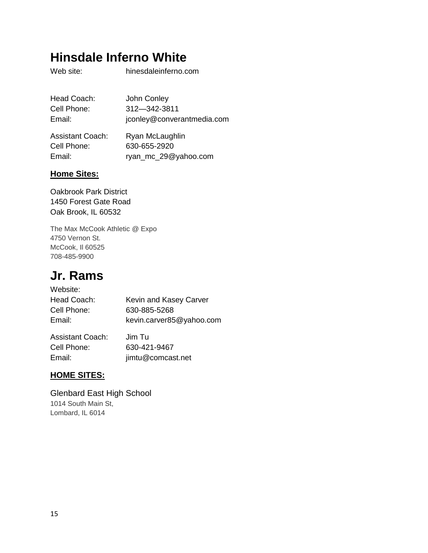# **Hinsdale Inferno White**

Web site: hinesdaleinferno.com

| Head Coach:             | John Conley                |
|-------------------------|----------------------------|
| Cell Phone:             | 312-342-3811               |
| Email:                  | jconley@converantmedia.com |
| <b>Assistant Coach:</b> | Ryan McLaughlin            |
| Cell Phone:             | 630-655-2920               |

Email: ryan\_mc\_29@yahoo.com

#### **Home Sites:**

Oakbrook Park District 1450 Forest Gate Road Oak Brook, IL 60532

The Max McCook Athletic @ Expo 4750 Vernon St. McCook, Il 60525 708-485-9900

# **Jr. Rams**

| Website:    |                          |
|-------------|--------------------------|
| Head Coach: | Kevin and Kasey Carver   |
| Cell Phone: | 630-885-5268             |
| Email:      | kevin.carver85@yahoo.com |
|             |                          |

| <b>Assistant Coach:</b> | Jim Tu            |
|-------------------------|-------------------|
| Cell Phone:             | 630-421-9467      |
| Email:                  | jimtu@comcast.net |

#### **HOME SITES:**

Glenbard East High School 1014 South Main St, Lombard, IL 6014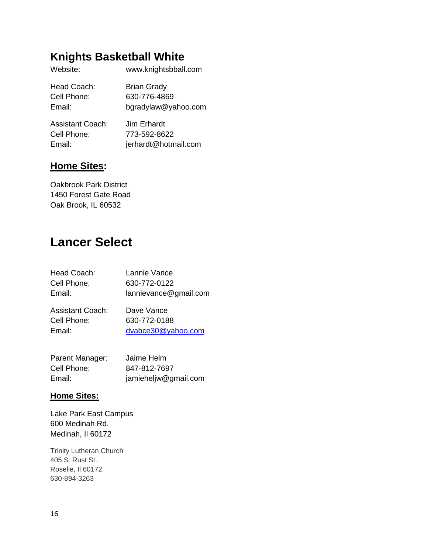# **Knights Basketball White**

| Website:    | www.knightsbball.com |
|-------------|----------------------|
| Head Coach: | <b>Brian Grady</b>   |
| Cell Phone: | 630-776-4869         |
| Email:      | bgradylaw@yahoo.com  |
|             |                      |

| Assistant Coach: | Jim Erhardt          |
|------------------|----------------------|
| Cell Phone:      | 773-592-8622         |
| Email:           | jerhardt@hotmail.com |

#### **Home Sites:**

Oakbrook Park District 1450 Forest Gate Road Oak Brook, IL 60532

# **Lancer Select**

| Head Coach:<br>Cell Phone:<br>Email: | Lannie Vance<br>630-772-0122<br>lannievance@gmail.com |
|--------------------------------------|-------------------------------------------------------|
| Assistant Coach:                     | Dave Vance                                            |
| Cell Phone:                          | 630-772-0188                                          |
| Email:                               | dvabce30@yahoo.com                                    |

| Parent Manager: | Jaime Helm           |
|-----------------|----------------------|
| Cell Phone:     | 847-812-7697         |
| Email:          | jamieheljw@gmail.com |

#### **Home Sites:**

Lake Park East Campus 600 Medinah Rd. Medinah, Il 60172

Trinity Lutheran Church 405 S. Rust St. Roselle, Il 60172 630-894-3263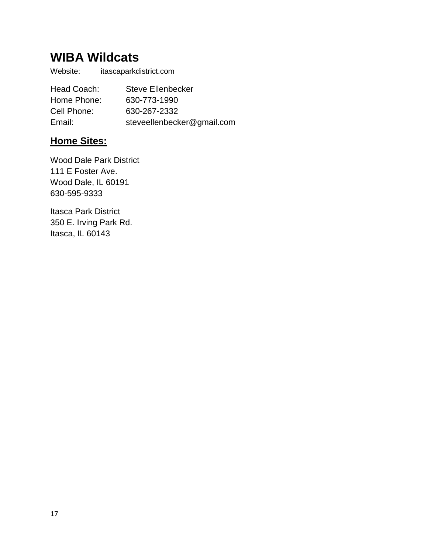# **WIBA Wildcats**

Website: itascaparkdistrict.com

Head Coach: Steve Ellenbecker Home Phone: 630-773-1990 Cell Phone: 630-267-2332 Email: steveellenbecker@gmail.com

### **Home Sites:**

Wood Dale Park District 111 E Foster Ave. Wood Dale, IL 60191 630-595-9333

Itasca Park District 350 E. Irving Park Rd. Itasca, IL 60143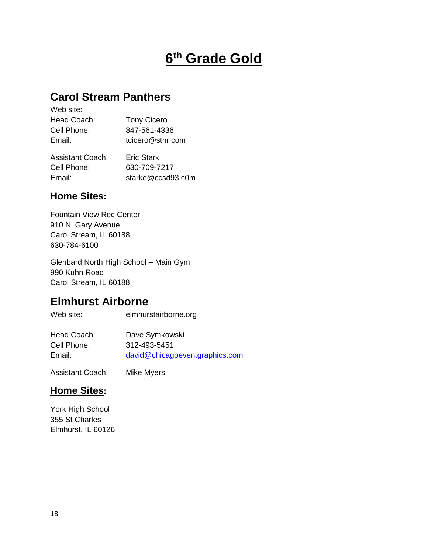# **6 th Grade Gold**

### **Carol Stream Panthers**

| Web site:   |                    |
|-------------|--------------------|
| Head Coach: | <b>Tony Cicero</b> |
| Cell Phone: | 847-561-4336       |
| Email:      | tcicero@stnr.com   |
|             |                    |

| Assistant Coach: | <b>Eric Stark</b> |
|------------------|-------------------|
| Cell Phone:      | 630-709-7217      |
| Email:           | starke@ccsd93.c0m |

#### **Home Sites:**

Fountain View Rec Center 910 N. Gary Avenue Carol Stream, IL 60188 630-784-6100

Glenbard North High School – Main Gym 990 Kuhn Road Carol Stream, IL 60188

### **Elmhurst Airborne**

Web site: elmhurstairborne.org

| Head Coach: | Dave Symkowski                 |
|-------------|--------------------------------|
| Cell Phone: | 312-493-5451                   |
| Email:      | david@chicagoeventgraphics.com |

Assistant Coach: Mike Myers

#### **Home Sites:**

York High School 355 St Charles Elmhurst, IL 60126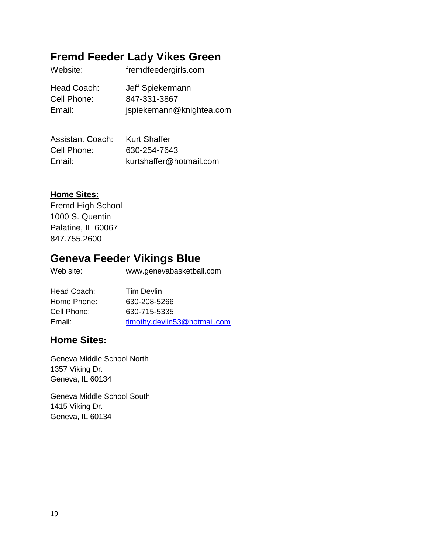### **Fremd Feeder Lady Vikes Green**

| Website:    | fremdfeedergirls.com     |
|-------------|--------------------------|
| Head Coach: | Jeff Spiekermann         |
| Cell Phone: | 847-331-3867             |
| Email:      | jspiekemann@knightea.com |

| <b>Assistant Coach:</b> | <b>Kurt Shaffer</b>     |
|-------------------------|-------------------------|
| Cell Phone:             | 630-254-7643            |
| Email:                  | kurtshaffer@hotmail.com |

#### **Home Sites:**

Fremd High School 1000 S. Quentin Palatine, IL 60067 847.755.2600

### **Geneva Feeder Vikings Blue**

Web site: www.genevabasketball.com

| Head Coach: | Tim Devlin                   |
|-------------|------------------------------|
| Home Phone: | 630-208-5266                 |
| Cell Phone: | 630-715-5335                 |
| Email:      | timothy.devlin53@hotmail.com |

#### **Home Sites:**

Geneva Middle School North 1357 Viking Dr. Geneva, IL 60134

Geneva Middle School South 1415 Viking Dr. Geneva, IL 60134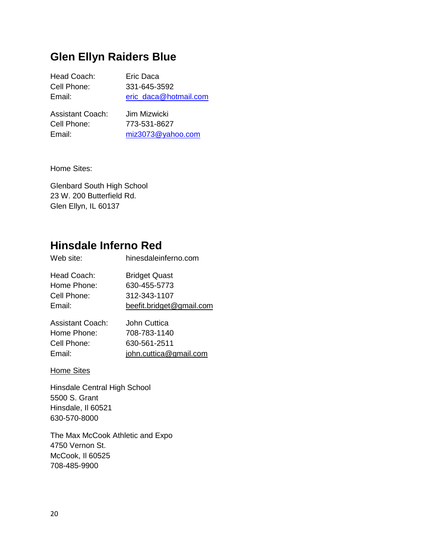### **Glen Ellyn Raiders Blue**

| Head Coach:      | Eric Daca             |
|------------------|-----------------------|
| Cell Phone:      | 331-645-3592          |
| Email:           | eric daca@hotmail.com |
| Appintont Conchi | lim Mizwioki          |

| Jim Mizwicki      |
|-------------------|
| 773-531-8627      |
| miz3073@yahoo.com |
|                   |

Home Sites:

Glenbard South High School 23 W. 200 Butterfield Rd. Glen Ellyn, IL 60137

# **Hinsdale Inferno Red**

| Web site:                                           | hinesdaleinferno.com                                                             |
|-----------------------------------------------------|----------------------------------------------------------------------------------|
| Head Coach:<br>Home Phone:<br>Cell Phone:<br>Email: | <b>Bridget Quast</b><br>630-455-5773<br>312-343-1107<br>beefit.bridget@gmail.com |
|                                                     |                                                                                  |

| <b>Assistant Coach:</b> | John Cuttica           |
|-------------------------|------------------------|
| Home Phone:             | 708-783-1140           |
| Cell Phone:             | 630-561-2511           |
| Email:                  | john.cuttica@gmail.com |

#### Home Sites

Hinsdale Central High School 5500 S. Grant Hinsdale, Il 60521 630-570-8000

The Max McCook Athletic and Expo 4750 Vernon St. McCook, Il 60525 708-485-9900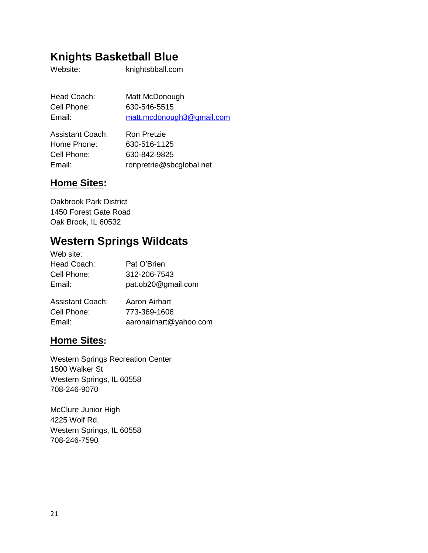### **Knights Basketball Blue**

Website: knightsbball.com

| Head Coach: | Matt McDonough            |
|-------------|---------------------------|
| Cell Phone: | 630-546-5515              |
| Email:      | matt.mcdonough3@gmail.com |
|             |                           |

| <b>Assistant Coach:</b> | <b>Ron Pretzie</b>       |
|-------------------------|--------------------------|
| Home Phone:             | 630-516-1125             |
| Cell Phone:             | 630-842-9825             |
| Email:                  | ronpretrie@sbcglobal.net |

### **Home Sites:**

Oakbrook Park District 1450 Forest Gate Road Oak Brook, IL 60532

### **Western Springs Wildcats**

| Web site:               |                    |
|-------------------------|--------------------|
| Head Coach:             | Pat O'Brien        |
| Cell Phone:             | 312-206-7543       |
| Email:                  | pat.ob20@gmail.com |
| <b>Assistant Coach:</b> | Aaron Airhart      |
| Cell Phone:             | 773-369-1606       |

Email: aaronairhart@yahoo.com

| <b>Home Sites:</b> |  |
|--------------------|--|

Western Springs Recreation Center 1500 Walker St Western Springs, IL 60558 708-246-9070

McClure Junior High 4225 Wolf Rd. Western Springs, IL 60558 708-246-7590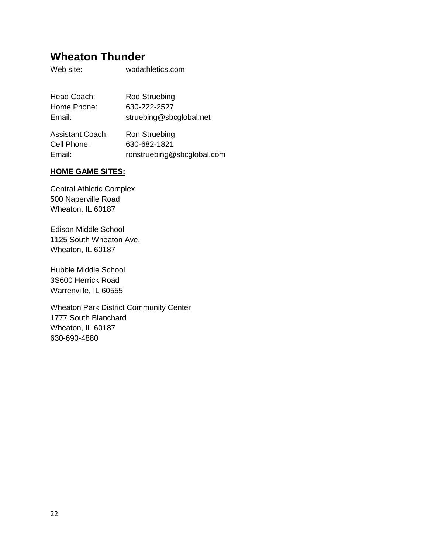### **Wheaton Thunder**

Web site: wpdathletics.com

| Head Coach:             | <b>Rod Struebing</b>    |
|-------------------------|-------------------------|
| Home Phone:             | 630-222-2527            |
| Email:                  | struebing@sbcglobal.net |
| <b>Assistant Coach:</b> | <b>Ron Struebing</b>    |
| Cell Phone:             | 630-682-1821            |

Email: ronstruebing@sbcglobal.com

#### **HOME GAME SITES:**

Central Athletic Complex 500 Naperville Road Wheaton, IL 60187

Edison Middle School 1125 South Wheaton Ave. Wheaton, IL 60187

Hubble Middle School 3S600 Herrick Road Warrenville, IL 60555

Wheaton Park District Community Center 1777 South Blanchard Wheaton, IL 60187 630-690-4880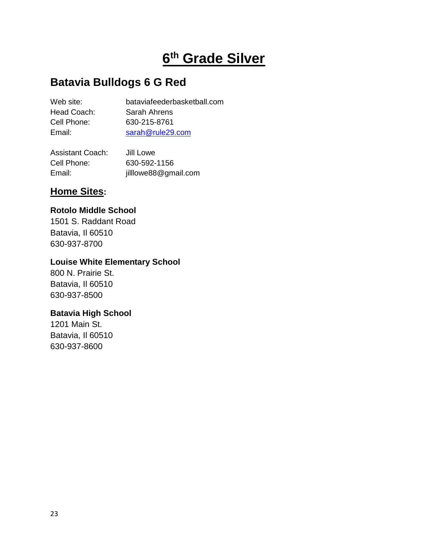# **6 th Grade Silver**

### **Batavia Bulldogs 6 G Red**

| Web site:   | bataviafeederbasketball.com |
|-------------|-----------------------------|
| Head Coach: | Sarah Ahrens                |
| Cell Phone: | 630-215-8761                |
| Email:      | sarah@rule29.com            |
|             |                             |

| <b>Assistant Coach:</b> | Jill Lowe            |
|-------------------------|----------------------|
| Cell Phone:             | 630-592-1156         |
| Email:                  | jilllowe88@gmail.com |

### **Home Sites:**

#### **Rotolo Middle School**

1501 S. Raddant Road Batavia, Il 60510 630-937-8700

#### **Louise White Elementary School**

800 N. Prairie St. Batavia, Il 60510 630-937-8500

#### **Batavia High School**

1201 Main St. Batavia, Il 60510 630-937-8600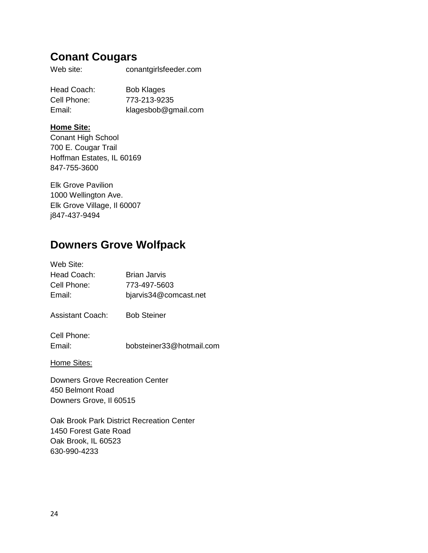### **Conant Cougars**

Web site: conantgirlsfeeder.com

Head Coach: Bob Klages Cell Phone: 773-213-9235 Email: klagesbob@gmail.com

#### **Home Site:**

Conant High School 700 E. Cougar Trail Hoffman Estates, IL 60169 847-755-3600

Elk Grove Pavilion 1000 Wellington Ave. Elk Grove Village, Il 60007 j847-437-9494

### **Downers Grove Wolfpack**

| Web Site:   |                       |
|-------------|-----------------------|
| Head Coach: | <b>Brian Jarvis</b>   |
| Cell Phone: | 773-497-5603          |
| Email:      | bjarvis34@comcast.net |
|             |                       |

Assistant Coach: Bob Steiner

Cell Phone:

Email: bobsteiner33@hotmail.com

Home Sites:

Downers Grove Recreation Center 450 Belmont Road Downers Grove, Il 60515

Oak Brook Park District Recreation Center 1450 Forest Gate Road Oak Brook, IL 60523 630-990-4233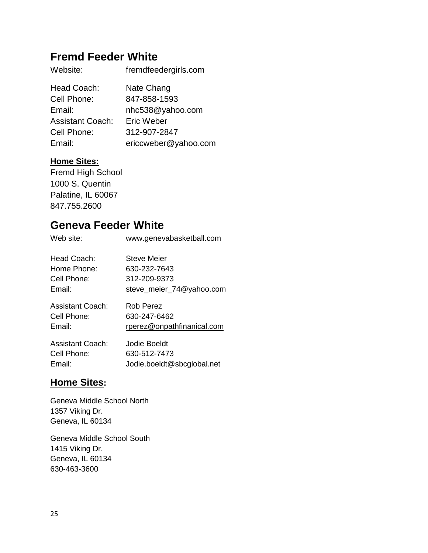### **Fremd Feeder White**

| Website:                | fremdfeedergirls.com |
|-------------------------|----------------------|
| Head Coach:             | Nate Chang           |
| Cell Phone:             | 847-858-1593         |
| Email:                  | nhc538@yahoo.com     |
| <b>Assistant Coach:</b> | Eric Weber           |
| Cell Phone:             | 312-907-2847         |
| Email:                  | ericcweber@yahoo.com |

#### **Home Sites:**

Fremd High School 1000 S. Quentin Palatine, IL 60067 847.755.2600

### **Geneva Feeder White**

| Web site:               | www.genevabasketball.com   |
|-------------------------|----------------------------|
| Head Coach:             | Steve Meier                |
| Home Phone:             | 630-232-7643               |
| Cell Phone:             | 312-209-9373               |
| Email:                  | steve_meier_74@yahoo.com   |
| <b>Assistant Coach:</b> | Rob Perez                  |
| Cell Phone:             | 630-247-6462               |
| Email:                  | rperez@onpathfinanical.com |
| Assistant Coach:        | Jodie Boeldt               |
| Cell Phone:             | 630-512-7473               |
| Email:                  | Jodie.boeldt@sbcglobal.net |

### **Home Sites:**

Geneva Middle School North 1357 Viking Dr. Geneva, IL 60134

Geneva Middle School South 1415 Viking Dr. Geneva, IL 60134 630-463-3600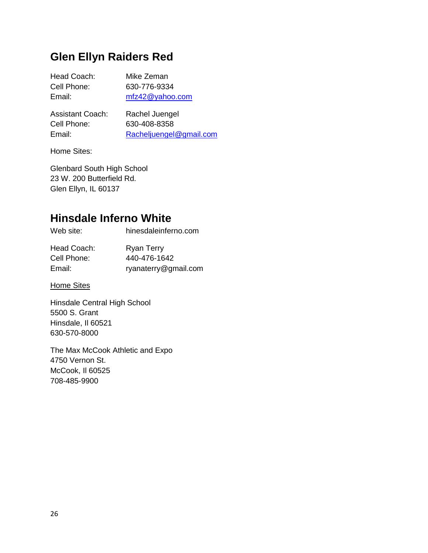### **Glen Ellyn Raiders Red**

| Head Coach:             | Mike Zeman         |
|-------------------------|--------------------|
| Cell Phone:             | 630-776-9334       |
| Email:                  | $mfz42@$ vahoo.com |
| <b>Assistant Coach:</b> | Rachel Juengel     |

| ASSISIAHI UUdUH. | Kachel Juenger          |
|------------------|-------------------------|
| Cell Phone:      | 630-408-8358            |
| Email:           | Racheljuengel@gmail.com |

Home Sites:

Glenbard South High School 23 W. 200 Butterfield Rd. Glen Ellyn, IL 60137

### **Hinsdale Inferno White**

| Web site:                  | hinesdaleinferno.com              |
|----------------------------|-----------------------------------|
| Head Coach:<br>Cell Phone: | <b>Ryan Terry</b><br>440-476-1642 |
| Email:                     | ryanaterry@gmail.com              |

**Home Sites** 

Hinsdale Central High School 5500 S. Grant Hinsdale, Il 60521 630-570-8000

The Max McCook Athletic and Expo 4750 Vernon St. McCook, Il 60525 708-485-9900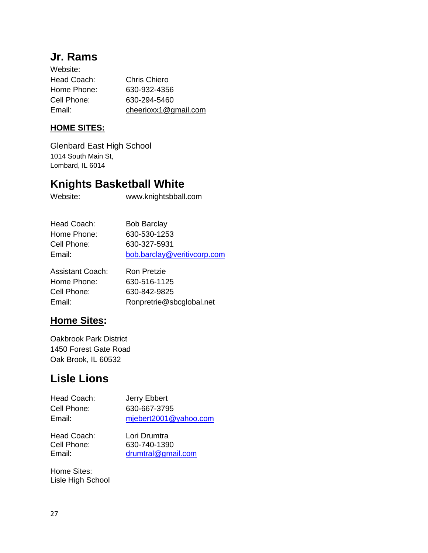### **Jr. Rams**

| Website:    |                      |
|-------------|----------------------|
| Head Coach: | Chris Chiero         |
| Home Phone: | 630-932-4356         |
| Cell Phone: | 630-294-5460         |
| Email:      | cheerioxx1@gmail.com |

#### **HOME SITES:**

Glenbard East High School 1014 South Main St, Lombard, IL 6014

### **Knights Basketball White**

Website: www.knightsbball.com

| <b>Bob Barclay</b>          |
|-----------------------------|
| 630-530-1253                |
| 630-327-5931                |
| bob.barclay@veritivcorp.com |
|                             |

| Assistant Coach: | Ron Pretzie              |
|------------------|--------------------------|
| Home Phone:      | 630-516-1125             |
| Cell Phone:      | 630-842-9825             |
| Email:           | Ronpretrie@sbcglobal.net |

### **Home Sites:**

Oakbrook Park District 1450 Forest Gate Road Oak Brook, IL 60532

# **Lisle Lions**

| Head Coach: | Jerry Ebbert          |
|-------------|-----------------------|
| Cell Phone: | 630-667-3795          |
| Email:      | mjebert2001@yahoo.com |
|             |                       |
| Head Coach: | Lori Drumtra          |
| Cell Phone: | 630-740-1390          |
| Email:      | drumtral@gmail.com    |

Home Sites: Lisle High School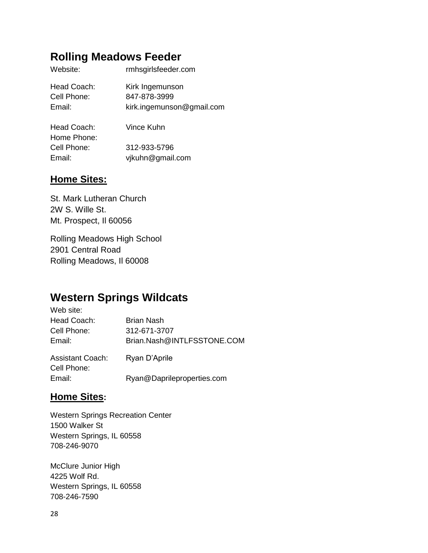### **Rolling Meadows Feeder**

| Website:    | rmhsgirlsfeeder.com       |
|-------------|---------------------------|
| Head Coach: | Kirk Ingemunson           |
| Cell Phone: | 847-878-3999              |
| Email:      | kirk.ingemunson@gmail.com |
|             |                           |

| Head Coach: | Vince Kuhn       |
|-------------|------------------|
| Home Phone: |                  |
| Cell Phone: | 312-933-5796     |
| Email:      | vikuhn@gmail.com |

#### **Home Sites:**

St. Mark Lutheran Church 2W S. Wille St. Mt. Prospect, Il 60056

Rolling Meadows High School 2901 Central Road Rolling Meadows, Il 60008

# **Western Springs Wildcats**

| Web site:               |                            |
|-------------------------|----------------------------|
| Head Coach:             | Brian Nash                 |
| Cell Phone:             | 312-671-3707               |
| Email:                  | Brian.Nash@INTLFSSTONE.COM |
| <b>Assistant Coach:</b> | Ryan D'Aprile              |
| Cell Phone:             |                            |
| Email:                  | Ryan@Daprileproperties.com |

#### **Home Sites:**

Western Springs Recreation Center 1500 Walker St Western Springs, IL 60558 708-246-9070

McClure Junior High 4225 Wolf Rd. Western Springs, IL 60558 708-246-7590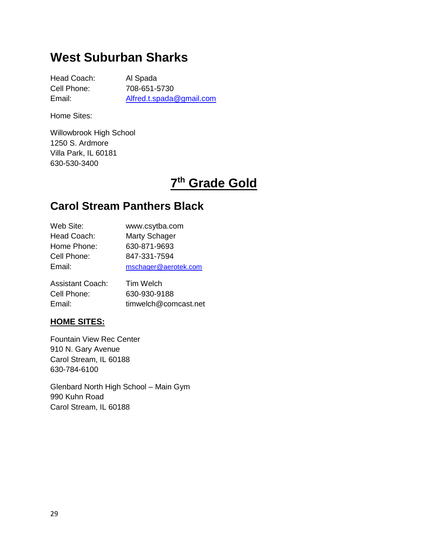# **West Suburban Sharks**

Head Coach: Al Spada Cell Phone: 708-651-5730 Email: [Alfred.t.spada@gmail.com](mailto:Alfred.t.spada@gmail.com)

Home Sites:

Willowbrook High School 1250 S. Ardmore Villa Park, IL 60181 630-530-3400

# **7 th Grade Gold**

## **Carol Stream Panthers Black**

| Web Site:   | www.csytba.com       |
|-------------|----------------------|
| Head Coach: | Marty Schager        |
| Home Phone: | 630-871-9693         |
| Cell Phone: | 847-331-7594         |
| Email:      | mschager@aerotek.com |
|             |                      |

| <b>Assistant Coach:</b> | Tim Welch            |
|-------------------------|----------------------|
| Cell Phone:             | 630-930-9188         |
| Email:                  | timwelch@comcast.net |

#### **HOME SITES:**

Fountain View Rec Center 910 N. Gary Avenue Carol Stream, IL 60188 630-784-6100

Glenbard North High School – Main Gym 990 Kuhn Road Carol Stream, IL 60188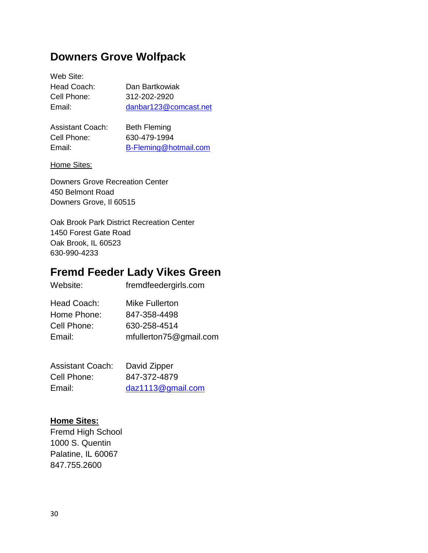### **Downers Grove Wolfpack**

Web Site: Head Coach: Dan Bartkowiak

Cell Phone: 312-202-2920 Email: [danbar123@comcast.net](mailto:danbar123@comcast.net)

| Assistant Coach: | <b>Beth Fleming</b>   |
|------------------|-----------------------|
| Cell Phone:      | 630-479-1994          |
| Email:           | B-Fleming@hotmail.com |
|                  |                       |

#### Home Sites:

Downers Grove Recreation Center 450 Belmont Road Downers Grove, Il 60515

Oak Brook Park District Recreation Center 1450 Forest Gate Road Oak Brook, IL 60523 630-990-4233

### **Fremd Feeder Lady Vikes Green**

| Website:    | fremdfeedergirls.com   |
|-------------|------------------------|
| Head Coach: | <b>Mike Fullerton</b>  |
| Home Phone: | 847-358-4498           |
| Cell Phone: | 630-258-4514           |
| Email:      | mfullerton75@gmail.com |

| <b>Assistant Coach:</b> | David Zipper      |
|-------------------------|-------------------|
| Cell Phone:             | 847-372-4879      |
| Email:                  | daz1113@gmail.com |

#### **Home Sites:**

Fremd High School 1000 S. Quentin Palatine, IL 60067 847.755.2600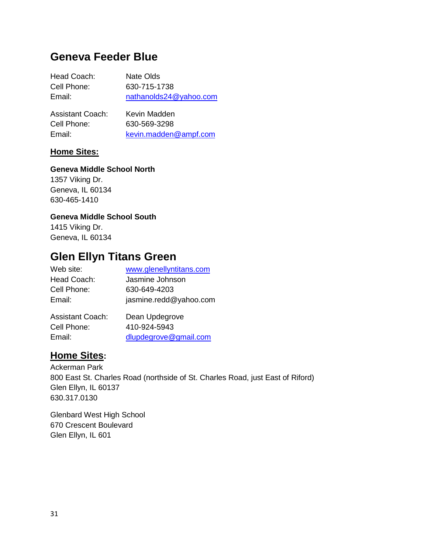### **Geneva Feeder Blue**

| Head Coach:                                                                                                                  | Nate Olds              |
|------------------------------------------------------------------------------------------------------------------------------|------------------------|
| Cell Phone:                                                                                                                  | 630-715-1738           |
| Email:                                                                                                                       | nathanolds24@yahoo.com |
| <b>Assistant Coach:</b>                                                                                                      | Kevin Madden           |
| $O1$ is $O2$ in $O2$ in $O2$ in $O2$ in $O2$ in $O2$ in $O2$ in $O2$ in $O2$ in $O2$ in $O2$ in $O2$ in $O2$ in $O2$ in $O2$ | coo reo oooo           |

| Cell Phone: | 630-569-3298          |
|-------------|-----------------------|
| Email:      | kevin.madden@ampf.com |

#### **Home Sites:**

#### **Geneva Middle School North**

1357 Viking Dr. Geneva, IL 60134 630-465-1410

#### **Geneva Middle School South**

1415 Viking Dr. Geneva, IL 60134

### **Glen Ellyn Titans Green**

| Web site:               | www.glenellyntitans.com |
|-------------------------|-------------------------|
| Head Coach:             | Jasmine Johnson         |
| Cell Phone:             | 630-649-4203            |
| Email:                  | jasmine.redd@yahoo.com  |
| <b>Assistant Coach:</b> | Dean Updegrove          |
| Cell Phone:             | 410-924-5943            |

Email: [dlupdegrove@gmail.com](mailto:dlupdegrove@gmail.com)

#### **Home Sites:**

Ackerman Park 800 East St. Charles Road (northside of St. Charles Road, just East of Riford) Glen Ellyn, IL 60137 630.317.0130

Glenbard West High School 670 Crescent Boulevard Glen Ellyn, IL 601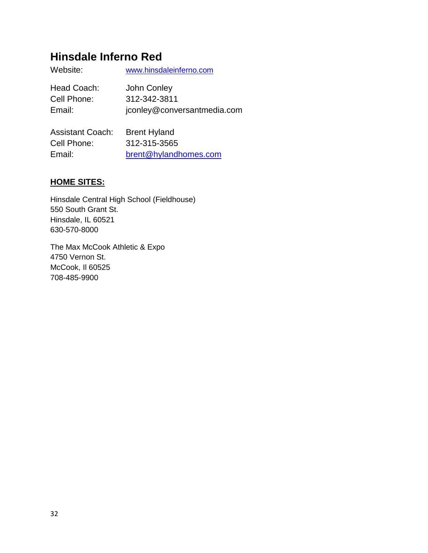### **Hinsdale Inferno Red**

| Website:    | www.hinsdaleinferno.com     |
|-------------|-----------------------------|
| Head Coach: | John Conley                 |
| Cell Phone: | 312-342-3811                |
| Email:      | jconley@conversantmedia.com |

| <b>Assistant Coach:</b> | <b>Brent Hyland</b>   |
|-------------------------|-----------------------|
| Cell Phone:             | 312-315-3565          |
| Email:                  | brent@hylandhomes.com |

#### **HOME SITES:**

Hinsdale Central High School (Fieldhouse) 550 South Grant St. Hinsdale, IL 60521 630-570-8000

The Max McCook Athletic & Expo 4750 Vernon St. McCook, Il 60525 708-485-9900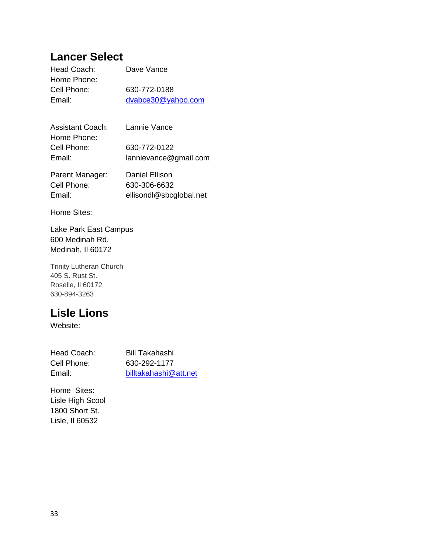### **Lancer Select**

| Head Coach: | Dave Vance         |
|-------------|--------------------|
| Home Phone: |                    |
| Cell Phone: | 630-772-0188       |
| Email:      | dvabce30@yahoo.com |
|             |                    |

| <b>Assistant Coach:</b> | Lannie Vance          |
|-------------------------|-----------------------|
| Home Phone:             |                       |
| Cell Phone:             | 630-772-0122          |
| Email:                  | lannievance@gmail.com |
| Parent Manager:         | Daniel Ellison        |
|                         |                       |
| Cell Phone:             | 630-306-6632          |

Email: ellisondl@sbcglobal.net Home Sites:

Lake Park East Campus 600 Medinah Rd. Medinah, Il 60172

Trinity Lutheran Church 405 S. Rust St. Roselle, Il 60172 630-894-3263

## **Lisle Lions**

Website:

Cell Phone: 630-292-1177

Head Coach: Bill Takahashi Email: [billtakahashi@att.net](mailto:billtakahashi@att.net)

Home Sites: Lisle High Scool 1800 Short St. Lisle, Il 60532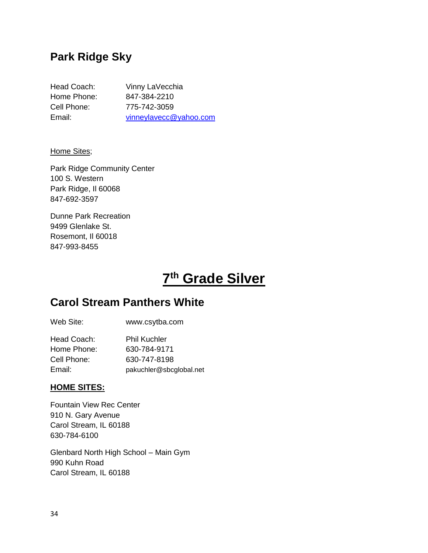### **Park Ridge Sky**

| Head Coach: | Vinny LaVecchia        |
|-------------|------------------------|
| Home Phone: | 847-384-2210           |
| Cell Phone: | 775-742-3059           |
| Email:      | vinneylavecc@yahoo.com |

Home Sites;

Park Ridge Community Center 100 S. Western Park Ridge, Il 60068 847-692-3597

Dunne Park Recreation 9499 Glenlake St. Rosemont, Il 60018 847-993-8455

# **7 th Grade Silver**

### **Carol Stream Panthers White**

| Web Site:   | www.csytba.com      |
|-------------|---------------------|
| Head Coach: | <b>Phil Kuchler</b> |
| Home Phone: | 630-784-9171        |
| Cell Phone: | 630-747-8198        |

Email: pakuchler@sbcglobal.net

#### **HOME SITES:**

Fountain View Rec Center 910 N. Gary Avenue Carol Stream, IL 60188 630-784-6100

Glenbard North High School – Main Gym 990 Kuhn Road Carol Stream, IL 60188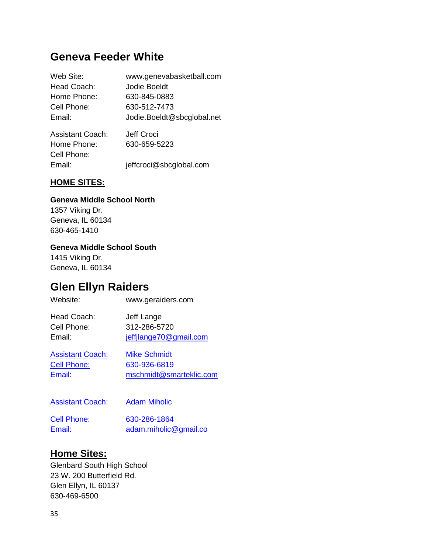### **Geneva Feeder White**

| Web Site:               | www.genevabasketball.com   |
|-------------------------|----------------------------|
| Head Coach:             | Jodie Boeldt               |
| Home Phone:             | 630-845-0883               |
| Cell Phone:             | 630-512-7473               |
| Email:                  | Jodie.Boeldt@sbcglobal.net |
| <b>Assistant Coach:</b> | Jeff Croci                 |
| Home Phone:             | 630-659-5223               |
| Cell Phone:             |                            |
| Email:                  | jeffcroci@sbcglobal.com    |

#### **HOME SITES:**

#### **Geneva Middle School North**

1357 Viking Dr. Geneva, IL 60134 630-465-1410

#### **Geneva Middle School South**

1415 Viking Dr. Geneva, IL 60134

### **Glen Ellyn Raiders**

| Website:                | www.geraiders.com       |
|-------------------------|-------------------------|
| Head Coach:             | Jeff Lange              |
| Cell Phone:             | 312-286-5720            |
| Email:                  | jeffjlange70@gmail.com  |
| <b>Assistant Coach:</b> | <b>Mike Schmidt</b>     |
| <b>Cell Phone:</b>      | 630-936-6819            |
| Email:                  | mschmidt@smarteklic.com |
| <b>Assistant Coach:</b> | <b>Adam Miholic</b>     |

Cell Phone: 630-286-1864 Email: adam.miholic@gmail.co

#### **Home Sites:**

Glenbard South High School 23 W. 200 Butterfield Rd. Glen Ellyn, IL 60137 630-469-6500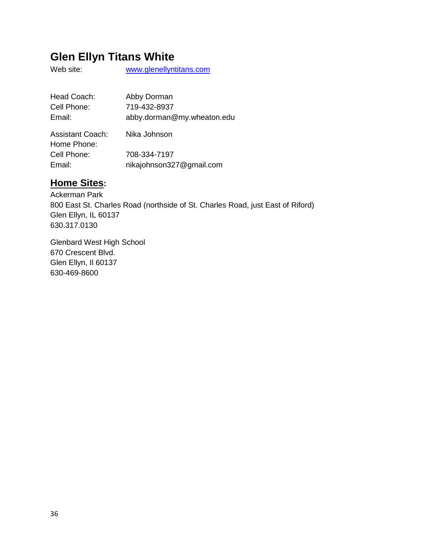## **Glen Ellyn Titans White**

Web site: [www.glenellyntitans.com](http://www.glenellyntitans.com/)

| Head Coach:                            | Abby Dorman                              |
|----------------------------------------|------------------------------------------|
| Cell Phone:                            | 719-432-8937                             |
| Email:                                 | abby.dorman@my.wheaton.edu               |
| <b>Assistant Coach:</b><br>Home Phone: | Nika Johnson                             |
| Cell Phone:<br>Email:                  | 708-334-7197<br>nikajohnson327@gmail.com |

### **Home Sites:**

Ackerman Park 800 East St. Charles Road (northside of St. Charles Road, just East of Riford) Glen Ellyn, IL 60137 630.317.0130

Glenbard West High School 670 Crescent Blvd. Glen Ellyn, Il 60137 630-469-8600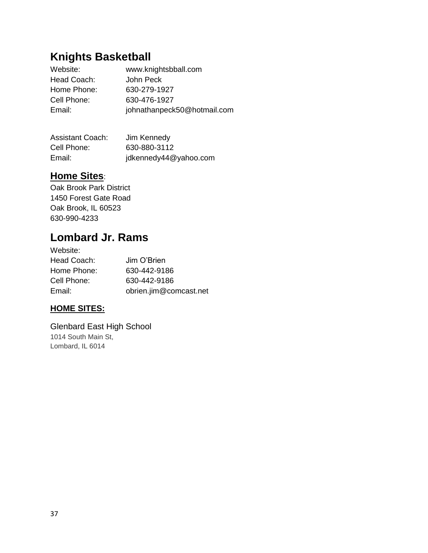# **Knights Basketball**

| Website:    | www.knightsbball.com        |
|-------------|-----------------------------|
| Head Coach: | John Peck                   |
| Home Phone: | 630-279-1927                |
| Cell Phone: | 630-476-1927                |
| Email:      | johnathanpeck50@hotmail.com |

| <b>Assistant Coach:</b> | Jim Kennedy           |
|-------------------------|-----------------------|
| Cell Phone:             | 630-880-3112          |
| Email:                  | jdkennedy44@yahoo.com |

### **Home Sites**:

Oak Brook Park District 1450 Forest Gate Road Oak Brook, IL 60523 630-990-4233

## **Lombard Jr. Rams**

| Website:    |                        |
|-------------|------------------------|
| Head Coach: | Jim O'Brien            |
| Home Phone: | 630-442-9186           |
| Cell Phone: | 630-442-9186           |
| Email:      | obrien.jim@comcast.net |

#### **HOME SITES:**

Glenbard East High School 1014 South Main St, Lombard, IL 6014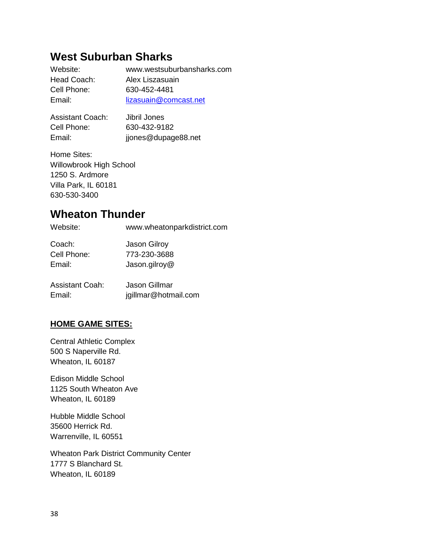### **West Suburban Sharks**

| Website:    | www.westsuburbansharks.com |
|-------------|----------------------------|
| Head Coach: | Alex Liszasuain            |
| Cell Phone: | 630-452-4481               |
| Email:      | lizasuain@comcast.net      |
|             |                            |

| <b>Assistant Coach:</b> | Jibril Jones        |
|-------------------------|---------------------|
| Cell Phone:             | 630-432-9182        |
| Email:                  | jjones@dupage88.net |

Home Sites: Willowbrook High School 1250 S. Ardmore Villa Park, IL 60181 630-530-3400

### **Wheaton Thunder**

| Website:               | www.wheatonparkdistrict.com |
|------------------------|-----------------------------|
| Coach:                 | Jason Gilroy                |
| Cell Phone:            | 773-230-3688                |
| Email:                 | Jason.gilroy@               |
| <b>Assistant Coah:</b> | Jason Gillmar               |
| Email:                 | jgillmar@hotmail.com        |

#### **HOME GAME SITES:**

Central Athletic Complex 500 S Naperville Rd. Wheaton, IL 60187

Edison Middle School 1125 South Wheaton Ave Wheaton, IL 60189

Hubble Middle School 35600 Herrick Rd. Warrenville, IL 60551

Wheaton Park District Community Center 1777 S Blanchard St. Wheaton, IL 60189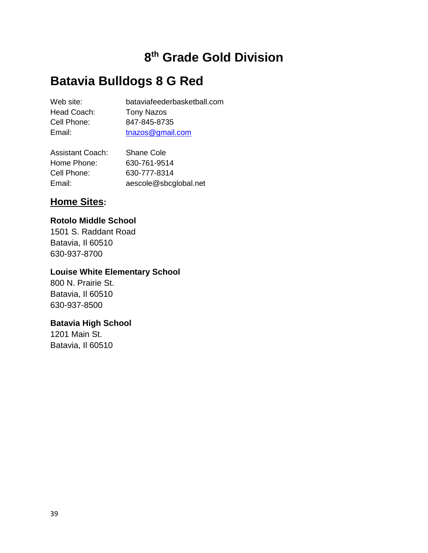# **8 th Grade Gold Division**

# **Batavia Bulldogs 8 G Red**

| Web site:   | bataviafeederbasketball.com |
|-------------|-----------------------------|
| Head Coach: | <b>Tony Nazos</b>           |
| Cell Phone: | 847-845-8735                |
| Email:      | tnazos@gmail.com            |
|             |                             |

| <b>Assistant Coach:</b> | <b>Shane Cole</b>     |
|-------------------------|-----------------------|
| Home Phone:             | 630-761-9514          |
| Cell Phone:             | 630-777-8314          |
| Email:                  | aescole@sbcglobal.net |

#### **Home Sites:**

#### **Rotolo Middle School**

1501 S. Raddant Road Batavia, Il 60510 630-937-8700

### **Louise White Elementary School**

800 N. Prairie St. Batavia, Il 60510 630-937-8500

#### **Batavia High School**

1201 Main St. Batavia, Il 60510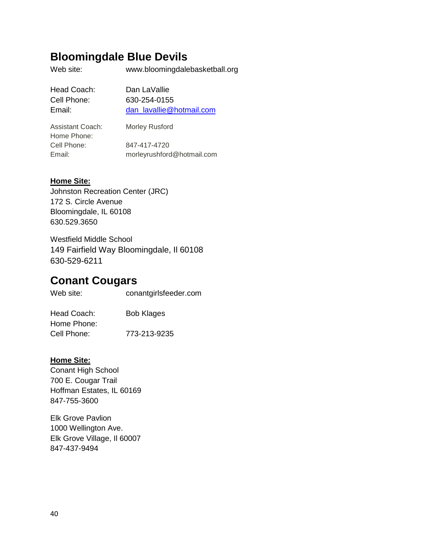### **Bloomingdale Blue Devils**

Web site: www.bloomingdalebasketball.org

| Dan LaVallie             |
|--------------------------|
| 630-254-0155             |
| dan lavallie@hotmail.com |
|                          |

| <b>Assistant Coach:</b> | Morley Rusford             |
|-------------------------|----------------------------|
| Home Phone:             |                            |
| Cell Phone:             | 847-417-4720               |
| Email:                  | morleyrushford@hotmail.com |

#### **Home Site:**

Johnston Recreation Center (JRC) 172 S. Circle Avenue Bloomingdale, IL 60108 630.529.3650

Westfield Middle School 149 Fairfield Way Bloomingdale, Il 60108 630-529-6211

### **Conant Cougars**

Web site: conantgirlsfeeder.com

Head Coach: Bob Klages Home Phone: Cell Phone: 773-213-9235

#### **Home Site:**

Conant High School 700 E. Cougar Trail Hoffman Estates, IL 60169 847-755-3600

Elk Grove Pavlion 1000 Wellington Ave. Elk Grove Village, Il 60007 847-437-9494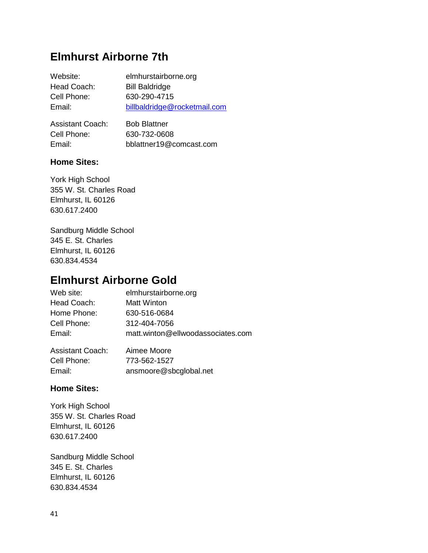### **Elmhurst Airborne 7th**

| Website:    | elmhurstairborne.org         |
|-------------|------------------------------|
| Head Coach: | <b>Bill Baldridge</b>        |
| Cell Phone: | 630-290-4715                 |
| Email:      | billbaldridge@rocketmail.com |
|             |                              |

| <b>Assistant Coach:</b> | <b>Bob Blattner</b>     |
|-------------------------|-------------------------|
| Cell Phone:             | 630-732-0608            |
| Email:                  | bblattner19@comcast.com |

#### **Home Sites:**

York High School 355 W. St. Charles Road Elmhurst, IL 60126 630.617.2400

Sandburg Middle School 345 E. St. Charles Elmhurst, IL 60126 630.834.4534

### **Elmhurst Airborne Gold**

| Web site:        | elmhurstairborne.org              |
|------------------|-----------------------------------|
| Head Coach:      | <b>Matt Winton</b>                |
| Home Phone:      | 630-516-0684                      |
| Cell Phone:      | 312-404-7056                      |
| Email:           | matt.winton@ellwoodassociates.com |
| Accietant Coach: | Aimoo Mooro                       |

Assistant Coach: Aimee Moore Cell Phone: 773-562-1527<br>Email: ansmoore@sh Email: ansmoore@sbcglobal.net

#### **Home Sites:**

York High School 355 W. St. Charles Road Elmhurst, IL 60126 630.617.2400

Sandburg Middle School 345 E. St. Charles Elmhurst, IL 60126 630.834.4534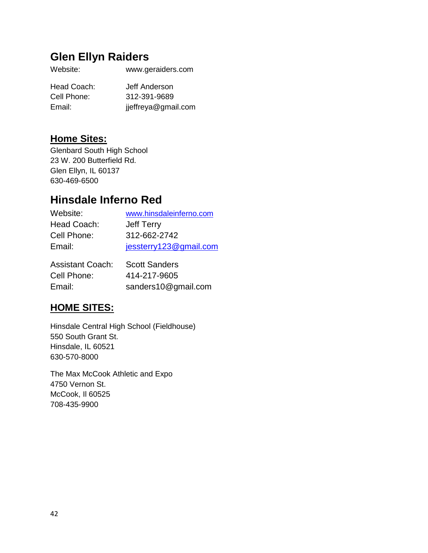## **Glen Ellyn Raiders**

| Head Coach: | Jeff Anderson       |
|-------------|---------------------|
| Cell Phone: | 312-391-9689        |
| Email:      | jjeffreya@gmail.com |

### **Home Sites:**

Glenbard South High School 23 W. 200 Butterfield Rd. Glen Ellyn, IL 60137 630-469-6500

## **Hinsdale Inferno Red**

| Website:    | www.hinsdaleinferno.com |
|-------------|-------------------------|
| Head Coach: | Jeff Terry              |
| Cell Phone: | 312-662-2742            |
| Email:      | jessterry123@gmail.com  |
|             |                         |

| <b>Assistant Coach:</b> | <b>Scott Sanders</b> |
|-------------------------|----------------------|
| Cell Phone:             | 414-217-9605         |
| Email:                  | sanders10@gmail.com  |

### **HOME SITES:**

Hinsdale Central High School (Fieldhouse) 550 South Grant St. Hinsdale, IL 60521 630-570-8000

The Max McCook Athletic and Expo 4750 Vernon St. McCook, Il 60525 708-435-9900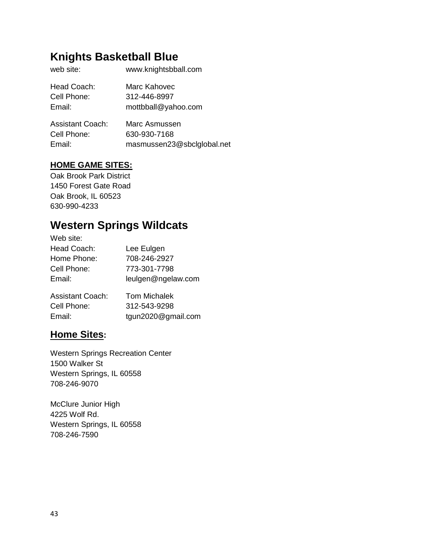# **Knights Basketball Blue**

| web site:   | www.knightsbball.com |
|-------------|----------------------|
| Head Coach: | Marc Kahovec         |
| Cell Phone: | 312-446-8997         |
| Email:      | mottbball@yahoo.com  |
|             |                      |

| <b>Assistant Coach:</b> | Marc Asmussen              |
|-------------------------|----------------------------|
| Cell Phone:             | 630-930-7168               |
| Email:                  | masmussen23@sbclglobal.net |

#### **HOME GAME SITES:**

Oak Brook Park District 1450 Forest Gate Road Oak Brook, IL 60523 630-990-4233

## **Western Springs Wildcats**

| Web site:               |                     |
|-------------------------|---------------------|
| Head Coach:             | Lee Eulgen          |
| Home Phone:             | 708-246-2927        |
| Cell Phone:             | 773-301-7798        |
| Email:                  | leulgen@ngelaw.com  |
| <b>Assistant Coach:</b> | <b>Tom Michalek</b> |
| Cell Phone:             | 312-543-9298        |
| Email:                  | tgun2020@gmail.com  |

#### **Home Sites:**

Western Springs Recreation Center 1500 Walker St Western Springs, IL 60558 708-246-9070

McClure Junior High 4225 Wolf Rd. Western Springs, IL 60558 708-246-7590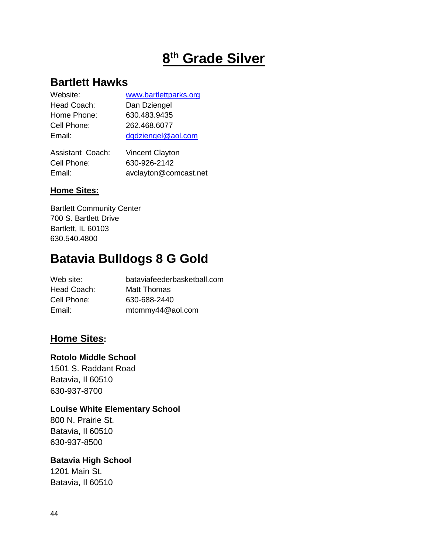# **8 th Grade Silver**

### **Bartlett Hawks**

| Website:    | www.bartlettparks.org |
|-------------|-----------------------|
| Head Coach: | Dan Dziengel          |
| Home Phone: | 630.483.9435          |
| Cell Phone: | 262.468.6077          |
| Email:      | dgdziengel@aol.com    |
|             |                       |

| Assistant Coach: | <b>Vincent Clayton</b> |
|------------------|------------------------|
| Cell Phone:      | 630-926-2142           |
| Email:           | avclayton@comcast.net  |

#### **Home Sites:**

Bartlett Community Center 700 S. Bartlett Drive Bartlett, IL 60103 630.540.4800

# **Batavia Bulldogs 8 G Gold**

| Web site:   | bataviafeederbasketball.com |
|-------------|-----------------------------|
| Head Coach: | Matt Thomas                 |
| Cell Phone: | 630-688-2440                |
| Email:      | mtommy44@aol.com            |

#### **Home Sites:**

#### **Rotolo Middle School**

1501 S. Raddant Road Batavia, Il 60510 630-937-8700

#### **Louise White Elementary School**

800 N. Prairie St. Batavia, Il 60510 630-937-8500

#### **Batavia High School**

1201 Main St. Batavia, Il 60510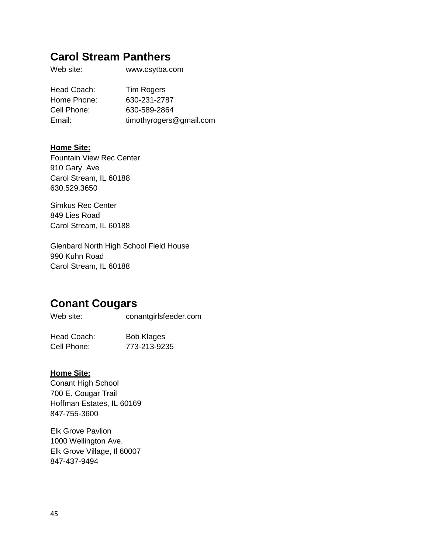### **Carol Stream Panthers**

Web site: www.csytba.com

Head Coach: Tim Rogers Home Phone: 630-231-2787 Cell Phone: 630-589-2864 Email: timothyrogers@gmail.com

#### **Home Site:**

Fountain View Rec Center 910 Gary Ave Carol Stream, IL 60188 630.529.3650

Simkus Rec Center 849 Lies Road Carol Stream, IL 60188

Glenbard North High School Field House 990 Kuhn Road Carol Stream, IL 60188

### **Conant Cougars**

Web site: conantgirlsfeeder.com

| Head Coach: | <b>Bob Klages</b> |
|-------------|-------------------|
| Cell Phone: | 773-213-9235      |

#### **Home Site:**

Conant High School 700 E. Cougar Trail Hoffman Estates, IL 60169 847-755-3600

Elk Grove Pavlion 1000 Wellington Ave. Elk Grove Village, Il 60007 847-437-9494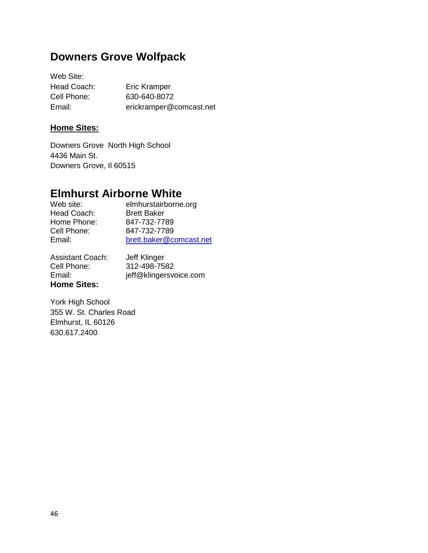### **Downers Grove Wolfpack**

Web Site: Head Coach: Eric Kramper Cell Phone: 630-640-8072 Email: erickramper@comcast.net

#### **Home Sites:**

Downers Grove North High School 4436 Main St. Downers Grove, Il 60515

### **Elmhurst Airborne White**

Web site:<br>
Head Coach: Brett Baker<br>
Head Coach: Brett Baker Head Coach: Home Phone: 847-732-7789<br>Cell Phone: 847-732-7789 Cell Phone: 847-732-7789 Email: [brett.baker@comcast.net](mailto:brett.baker@comcast.net)

Assistant Coach: Jeff Klinger Cell Phone: 312-498-7582 **Home Sites:**

Email: jeff@klingersvoice.com

York High School 355 W. St. Charles Road Elmhurst, IL 60126 630.617.2400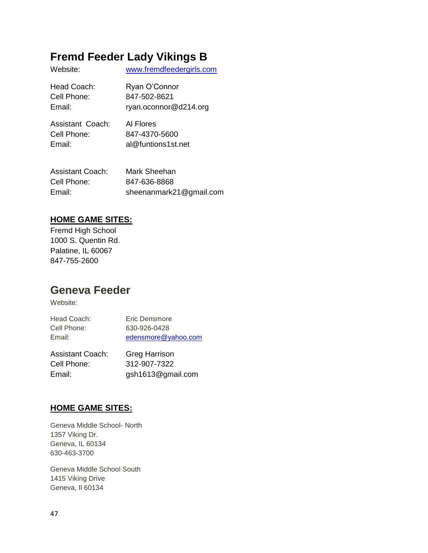# **Fremd Feeder Lady Vikings B**

| Website:         | www.fremdfeedergirls.com |
|------------------|--------------------------|
| Head Coach:      | Ryan O'Connor            |
| Cell Phone:      | 847-502-8621             |
| Email:           | ryan.oconnor@d214.org    |
| Assistant Coach: | Al Flores                |
| Cell Phone:      | 847-4370-5600            |
| Email:           | al@funtions1st.net       |
|                  |                          |

| Assistant Coach: | Mark Sheehan            |
|------------------|-------------------------|
| Cell Phone:      | 847-636-8868            |
| Email:           | sheenanmark21@gmail.com |

#### **HOME GAME SITES:**

Fremd High School 1000 S. Quentin Rd. Palatine, IL 60067 847-755-2600

### **Geneva Feeder**

Website:

| A           |                     |
|-------------|---------------------|
| Email:      | edensmore@yahoo.com |
| Cell Phone: | 630-926-0428        |
| Head Coach: | Eric Densmore       |

| Assistant Coach: | Greg Harrison     |
|------------------|-------------------|
| Cell Phone:      | 312-907-7322      |
| Email:           | gsh1613@gmail.com |

#### **HOME GAME SITES:**

Geneva Middle School- North 1357 Viking Dr. Geneva, IL 60134 630-463-3700

Geneva Middle School South 1415 Viking Drive Geneva, Il 60134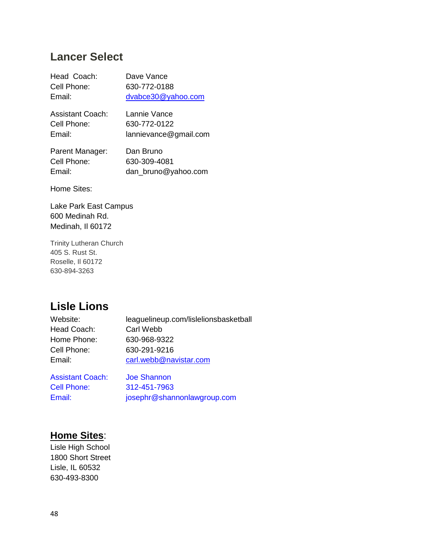### **Lancer Select**

| Head Coach:      | Dave Vance         |
|------------------|--------------------|
| Cell Phone:      | 630-772-0188       |
| Email:           | dvabce30@yahoo.com |
| Assistant Coach: | Lannie Vance       |

Cell Phone: 630-772-0122 Email: lannievance@gmail.com

Parent Manager: Dan Bruno Cell Phone: 630-309-4081 Email: dan\_bruno@yahoo.com

Home Sites:

Lake Park East Campus 600 Medinah Rd. Medinah, Il 60172

Trinity Lutheran Church 405 S. Rust St. Roselle, Il 60172 630-894-3263

### **Lisle Lions**

| leaguelineup.com/lislelionsbasketball |
|---------------------------------------|
| Carl Webb                             |
| 630-968-9322                          |
| 630-291-9216                          |
| carl.webb@navistar.com                |
|                                       |

Assistant Coach: Joe Shannon Cell Phone: 312-451-7963 Email: josephr@shannonlawgroup.com

#### **Home Sites**:

Lisle High School 1800 Short Street Lisle, IL 60532 630-493-8300